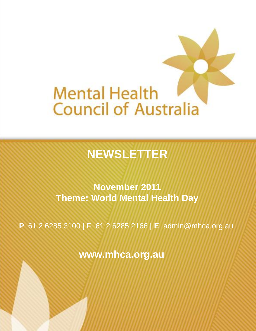

# **NEWSLETTER**

**November 2011 Theme: World Mental Health Day**

**P** 61 2 6285 3100 **| F** 61 2 6285 2166 **| E** admin@mhca.org.au

**www.mhca.org.au**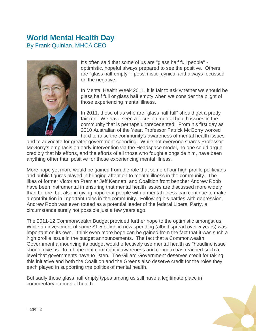## **World Mental Health Day**

By Frank Quinlan, MHCA CEO



It's often said that some of us are "glass half full people" optimistic, hopeful always prepared to see the positive. Others are "glass half empty" - pessimistic, cynical and always focussed on the negative.

In Mental Health Week 2011, it is fair to ask whether we should be glass half full or glass half empty when we consider the plight of those experiencing mental illness.

In 2011, those of us who are "glass half full" should get a pretty fair run. We have seen a focus on mental health issues in the community that is perhaps unprecedented. From his first day as 2010 Australian of the Year, Professor Patrick McGorry worked hard to raise the community's awareness of mental health issues

and to advocate for greater government spending. While not everyone shares Professor McGorry's emphasis on early intervention via the Headspace model, no one could argue credibly that his efforts, and the efforts of all those who fought alongside him, have been anything other than positive for those experiencing mental illness.

More hope yet more would be gained from the role that some of our high profile politicians and public figures played in bringing attention to mental illness in the community. The likes of former Victorian Premier Jeff Kennett, and Coalition front bencher Andrew Robb have been instrumental in ensuring that mental health issues are discussed more widely than before, but also in giving hope that people with a mental illness can continue to make a contribution in important roles in the community. Following his battles with depression, Andrew Robb was even touted as a potential leader of the federal Liberal Party, a circumstance surely not possible just a few years ago.

The 2011-12 Commonwealth Budget provided further hope to the optimistic amongst us. While an investment of some \$1.5 billion in new spending (albeit spread over 5 years) was important on its own, I think even more hope can be gained from the fact that it was such a high profile issue in the budget announcements. The fact that a Commonwealth Government announcing its budget would effectively use mental health as "headline issue" should give rise to a hope that community awareness and concern has reached such a level that governments have to listen. The Gillard Government deserves credit for taking this initiative and both the Coalition and the Greens also deserve credit for the roles they each played in supporting the politics of mental health.

But sadly those glass half empty types among us still have a legitimate place in commentary on mental health.

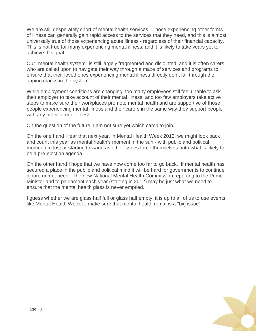We are still desperately short of mental health services. Those experiencing other forms of illness can generally gain rapid access to the services that they need, and this is almost universally true of those experiencing acute illness - regardless of their financial capacity. This is not true for many experiencing mental illness, and it is likely to take years yet to achieve this goal.

Our "mental health system" is still largely fragmented and disjointed, and it is often carers who are called upon to navigate their way through a maze of services and programs to ensure that their loved ones experiencing mental illness directly don"t fall through the gaping cracks in the system.

While employment conditions are changing, too many employees still feel unable to ask their employer to take account of their mental illness, and too few employers take active steps to make sure their workplaces promote mental health and are supportive of those people experiencing mental illness and their carers in the same way they support people with any other form of illness.

On the question of the future, I am not sure yet which camp to join.

On the one hand I fear that next year, in Mental Health Week 2012, we might look back and count this year as mental health's moment in the sun - with public and political momentum lost or starting to wane as other issues force themselves onto what is likely to be a pre-election agenda.

On the other hand I hope that we have now come too far to go back. If mental health has secured a place in the public and political mind it will be hard for governments to continue ignore unmet need. The new National Mental Health Commission reporting to the Prime Minister and to parliament each year (starting in 2012) may be just what we need to ensure that the mental health glass is never emptied.

I guess whether we are glass half full or glass half empty, it is up to all of us to use events like Mental Health Week to make sure that mental health remains a "big issue".

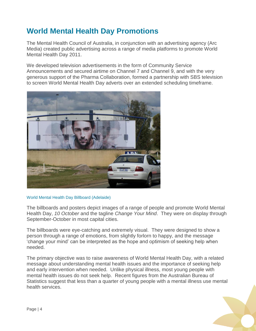## **World Mental Health Day Promotions**

The Mental Health Council of Australia, in conjunction with an advertising agency (Arc Media) created public advertising across a range of media platforms to promote World Mental Health Day 2011.

We developed television advertisements in the form of Community Service Announcements and secured airtime on Channel 7 and Channel 9, and with the very generous support of the Pharma Collaboration, formed a partnership with SBS television to screen World Mental Health Day adverts over an extended scheduling timeframe.



#### World Mental Health Day Billboard (Adelaide)

The billboards and posters depict images of a range of people and promote World Mental Health Day, *10 October* and the tagline *Change Your Mind*. They were on display through September-October in most capital cities.

The billboards were eye-catching and extremely visual. They were designed to show a person through a range of emotions, from slightly forlorn to happy, and the message "change your mind" can be interpreted as the hope and optimism of seeking help when needed.

The primary objective was to raise awareness of World Mental Health Day, with a related message about understanding mental health issues and the importance of seeking help and early intervention when needed. Unlike physical illness, most young people with mental health issues do not seek help. Recent figures from the Australian Bureau of Statistics suggest that less than a quarter of young people with a mental illness use mental health services.

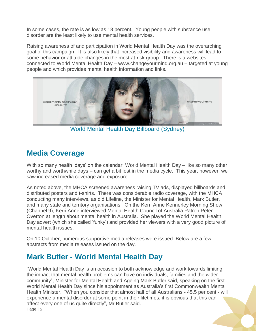In some cases, the rate is as low as 18 percent. Young people with substance use disorder are the least likely to use mental health services.

Raising awareness of and participation in World Mental Health Day was the overarching goal of this campaign. It is also likely that increased visibility and awareness will lead to some behavior or attitude changes in the most at-risk group. There is a websites connected to World Mental Health Day – www.changeyourmind.org.au – targeted at young people and which provides mental health information and links.



World Mental Health Day Billboard (Sydney)

## **Media Coverage**

With so many health 'days' on the calendar, World Mental Health Day – like so many other worthy and worthwhile days – can get a bit lost in the media cycle. This year, however, we saw increased media coverage and exposure.

As noted above, the MHCA screened awareness raising TV ads, displayed billboards and distributed posters and t-shirts. There was considerable radio coverage, with the MHCA conducting many interviews, as did Lifeline, the Minister for Mental Health, Mark Butler, and many state and territory organisations. On the Kerri Anne Kennerley Morning Show (Channel 9), Kerri Anne interviewed Mental Health Council of Australia Patron Peter Overton at length about mental health in Australia. She played the World Mental Health Day advert (which she called "funky") and provided her viewers with a very good picture of mental health issues.

On 10 October, numerous supportive media releases were issued. Below are a few abstracts from media releases issued on the day.

## **Mark Butler - World Mental Health Day**

Page | 5 "World Mental Health Day is an occasion to both acknowledge and work towards limiting the impact that mental health problems can have on individuals, families and the wider community", Minister for Mental Health and Ageing Mark Butler said, speaking on the first World Mental Health Day since his appointment as Australia"s first Commonwealth Mental Health Minister. "When you consider that almost half of all Australians - 45.5 per cent - will experience a mental disorder at some point in their lifetimes, it is obvious that this can affect every one of us quite directly", Mr Butler said.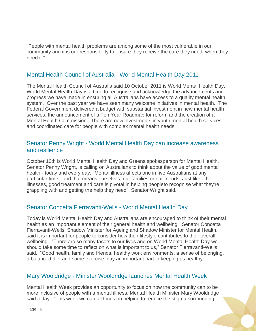"People with mental health problems are among some of the most vulnerable in our community and it is our responsibility to ensure they receive the care they need, when they need it."

#### Mental Health Council of Australia - World Mental Health Day 2011

The Mental Health Council of Australia said 10 October 2011 is World Mental Health Day. World Mental Health Day is a time to recognise and acknowledge the advancements and progress we have made in ensuring all Australians have access to a quality mental health system. Over the past year we have seen many welcome initiatives in mental health. The Federal Government delivered a budget with substantial investment in new mental health services, the announcement of a Ten Year Roadmap for reform and the creation of a Mental Health Commission. There are new investments in youth mental health services and coordinated care for people with complex mental health needs.

#### Senator Penny Wright - World Mental Health Day can increase awareness and resilience

October 10th is World Mental Health Day and Greens spokesperson for Mental Health, Senator Penny Wright, is calling on Australians to think about the value of good mental health - today and every day. "Mental illness affects one in five Australians at any particular time - and that means ourselves, our families or our friends. Just like other illnesses, good treatment and care is pivotal in helping peopleto recognise what they're grappling with and getting the help they need", Senator Wright said.

#### Senator Concetta Fierravanti-Wells - World Mental Health Day

Today is World Mental Health Day and Australians are encouraged to think of their mental health as an important element of their general health and wellbeing. Senator Concetta Fierravanti-Wells, Shadow Minister for Ageing and Shadow Minister for Mental Health, said it is important for people to consider how their lifestyle contributes to their overall wellbeing. "There are so many facets to our lives and on World Mental Health Day we should take some time to reflect on what is important to us," Senator Fierravanti-Wells said. "Good health, family and friends, healthy work environments, a sense of belonging, a balanced diet and some exercise play an important part in keeping us healthy.

#### Mary Wooldridge - Minister Wooldridge launches Mental Health Week

Mental Health Week provides an opportunity to focus on how the community can to be more inclusive of people with a mental illness, Mental Health Minister Mary Wooldridge said today. "This week we can all focus on helping to reduce the stigma surrounding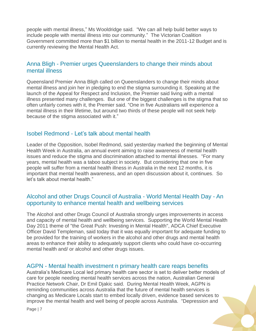people with mental illness," Ms Wooldridge said. "We can all help build better ways to include people with mental illness into our community." The Victorian Coalition Government committed more than \$1 billion to mental health in the 2011-12 Budget and is currently reviewing the Mental Health Act.

#### Anna Bligh - Premier urges Queenslanders to change their minds about mental illness

Queensland Premier Anna Bligh called on Queenslanders to change their minds about mental illness and join her in pledging to end the stigma surrounding it. Speaking at the launch of the Appeal for Respect and Inclusion, the Premier said living with a mental illness presented many challenges. But one of the biggest challenges is the stigma that so often unfairly comes with it, the Premier said. "One in five Australians will experience a mental illness in their lifetime, but around two thirds of these people will not seek help because of the stigma associated with it."

#### Isobel Redmond - Let"s talk about mental health

Leader of the Opposition, Isobel Redmond, said yesterday marked the beginning of Mental Health Week in Australia, an annual event aiming to raise awareness of mental health issues and reduce the stigma and discrimination attached to mental illnesses. "For many years, mental health was a taboo subject in society. But considering that one in five people will suffer from a mental health illness in Australia in the next 12 months, it is important that mental health awareness, and an open discussion about it, continues. So let"s talk about mental health."

#### Alcohol and other Drugs Council of Australia - World Mental Health Day - An opportunity to enhance mental health and wellbeing services

The Alcohol and other Drugs Council of Australia strongly urges improvements in access and capacity of mental health and wellbeing services. Supporting the World Mental Health Day 2011 theme of "the Great Push: Investing in Mental Health", ADCA Chief Executive Officer David Templeman, said today that it was equally important for adequate funding to be provided for the training of workers in the alcohol and other drugs and mental health areas to enhance their ability to adequately support clients who could have co-occurring mental health and/ or alcohol and other drugs issues.

#### AGPN - Mental health investment n primary health care reaps benefits

Australia"s Medicare Local led primary health care sector is set to deliver better models of care for people needing mental health services across the nation, Australian General Practice Network Chair, Dr Emil Djakic said. During Mental Health Week, AGPN is reminding communities across Australia that the future of mental health services is changing as Medicare Locals start to embed locally driven, evidence based services to improve the mental health and well being of people across Australia. "Depression and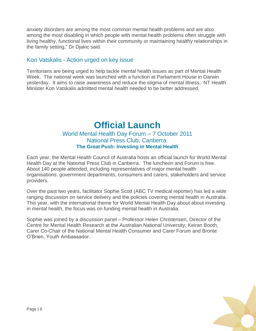anxiety disorders are among the most common mental health problems and are also among the most disabling in which people with mental health problems often struggle with living healthy, functional lives within their community or maintaining healthy relationships in the family setting," Dr Djakic said.

#### Kon Vatskalis - Action urged on key issue

Territorians are being urged to help tackle mental health issues as part of Mental Health Week. The national week was launched with a function at Parliament House in Darwin yesterday. It aims to raise awareness and reduce the stigma of mental illness. NT Health Minister Kon Vatskalis admitted mental health needed to be better addressed.

## **Official Launch**  World Mental Health Day Forum – 7 October 2011

## National Press Club, Canberra. **The Great Push: Investing in Mental Health**

Each year, the Mental Health Council of Australia hosts an official launch for World Mental Health Day at the National Press Club in Canberra. The luncheon and Forum is free. About 140 people attended, including representatives of major mental health organisations, government departments, consumers and carers, stakeholders and service providers.

Over the past two years, facilitator Sophie Scott (ABC TV medical reporter) has led a wide ranging discussion on service delivery and the policies covering mental health in Australia. This year, with the international theme for World Mental Health Day about about investing in mental health, the focus was on funding mental health in Australia.

Sophie was joined by a discussion panel – Professor Helen Christensen, Director of the Centre for Mental Health Research at the Australian National University; Keiran Booth, Carer Co-Chair of the National Mental Health Consumer and Carer Forum and Bronte O"Brien, Youth Ambassador.

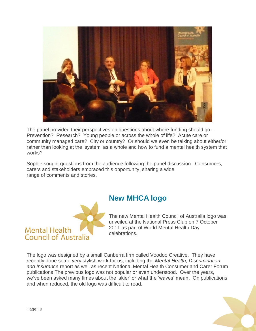

The panel provided their perspectives on questions about where funding should go – Prevention? Research? Young people or across the whole of life? Acute care or community managed care? City or country? Or should we even be talking about either/or rather than looking at the 'system' as a whole and how to fund a mental health system that works?

Sophie sought questions from the audience following the panel discussion. Consumers, carers and stakeholders embraced this opportunity, sharing a wide range of comments and stories.



## **New MHCA logo**

The new Mental Health Council of Australia logo was unveiled at the National Press Club on 7 October 2011 as part of World Mental Health Day celebrations.

The logo was designed by a small Canberra firm called Voodoo Creative. They have recently done some very stylish work for us, including the *Mental Health, Discrimination and Insurance* report as well as recent National Mental Health Consumer and Carer Forum publications.The previous logo was not popular or even understood. Over the years, we've been asked many times about the 'skier' or what the 'waves' mean. On publications and when reduced, the old logo was difficult to read.

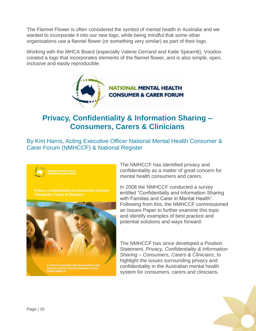The Flannel Flower is often considered the symbol of mental health in Australia and we wanted to incorporate it into our new logo, while being mindful that some other organisations use a flannel flower (or something very similar) as part of their logo.

Working with the MHCA Board (especially Valerie Gerrand and Katie Spearritt), Voodoo created a logo that incorporates elements of the flannel flower, and is also simple, open, inclusive and easily reproducible.



## **Privacy, Confidentiality & Information Sharing – Consumers, Carers & Clinicians**

By Kim Harris, Acting Executive Officer National Mental Health Consumer & Carer Forum (NMHCCF) & National Register



The NMHCCF has identified privacy and confidentiality as a matter of great concern for mental health consumers and carers.

In 2008 the NMHCCF conducted a survey entitled "Confidentially and Information Sharing with Families and Carer in Mental Health". Following from this, the NMHCCF commissioned an Issues Paper to further examine this topic and identify examples of best practice and potential solutions and ways forward.

The NMHCCF has since developed a Position Statement, *Privacy, Confidentiality & Information Sharing – Consumers, Carers & Clinicians*, to highlight the issues surrounding privacy and confidentiality in the Australian mental health system for consumers, carers and clinicians.

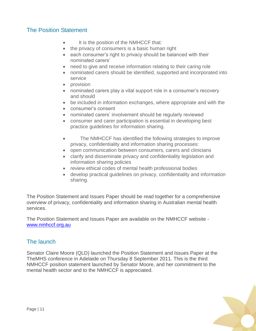#### The Position Statement

- It is the position of the NMHCCF that:
- the privacy of consumers is a basic human right
- each consumer's right to privacy should be balanced with their nominated carers"
- need to give and receive information relating to their caring role
- nominated carers should be identified, supported and incorporated into service
- provision
- nominated carers play a vital support role in a consumer's recovery and should
- be included in information exchanges, where appropriate and with the
- consumer"s consent
- nominated carers' involvement should be regularly reviewed
- consumer and carer participation is essential in developing best practice guidelines for information sharing.
- The NMHCCF has identified the following strategies to improve privacy, confidentiality and information sharing processes:
- open communication between consumers, carers and clinicians
- clarify and disseminate privacy and confidentiality legislation and information sharing policies
- review ethical codes of mental health professional bodies
- develop practical guidelines on privacy, confidentiality and information sharing.

The Position Statement and Issues Paper should be read together for a comprehensive overview of privacy, confidentiality and information sharing in Australian mental health services.

The Position Statement and Issues Paper are available on the NMHCCF website [www.nmhccf.org.au](http://www.nmhccf.org.au/)

#### The launch

Senator Claire Moore (QLD) launched the Position Statement and Issues Paper at the TheMHS conference in Adelaide on Thursday 8 September 2011. This is the third NMHCCF position statement launched by Senator Moore, and her commitment to the mental health sector and to the NMHCCF is appreciated.